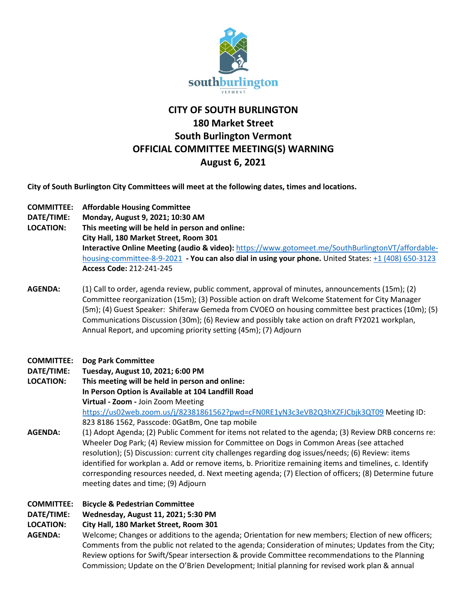

# **CITY OF SOUTH BURLINGTON 180 Market Street South Burlington Vermont OFFICIAL COMMITTEE MEETING(S) WARNING August 6, 2021**

**City of South Burlington City Committees will meet at the following dates, times and locations.** 

- **COMMITTEE: Affordable Housing Committee**
- **DATE/TIME: Monday, August 9, 2021; 10:30 AM**
- **LOCATION: This meeting will be held in person and online:**

**City Hall, 180 Market Street, Room 301**

**Interactive Online Meeting (audio & video):** [https://www.gotomeet.me/SouthBurlingtonVT/affordable](https://www.gotomeet.me/SouthBurlingtonVT/affordable-housing-committee-8-9-2021)[housing-committee-8-9-2021](https://www.gotomeet.me/SouthBurlingtonVT/affordable-housing-committee-8-9-2021) **- You can also dial in using your phone.** United States[: +1 \(408\) 650-3123](tel:+14086503123,,212241245) **Access Code:** 212-241-245

**AGENDA:** (1) Call to order, agenda review, public comment, approval of minutes, announcements (15m); (2) Committee reorganization (15m); (3) Possible action on draft Welcome Statement for City Manager (5m); (4) Guest Speaker: Shiferaw Gemeda from CVOEO on housing committee best practices (10m); (5) Communications Discussion (30m); (6) Review and possibly take action on draft FY2021 workplan, Annual Report, and upcoming priority setting (45m); (7) Adjourn

# **COMMITTEE: Dog Park Committee**

**DATE/TIME: Tuesday, August 10, 2021; 6:00 PM**

**LOCATION: This meeting will be held in person and online: In Person Option is Available at 104 Landfill Road Virtual - Zoom -** Join Zoom Meeting <https://us02web.zoom.us/j/82381861562?pwd=cFN0RE1yN3c3eVB2Q3hXZFJCbjk3QT09> Meeting ID: 823 8186 1562, Passcode: 0GatBm, One tap mobile

- **AGENDA:** (1) Adopt Agenda; (2) Public Comment for items not related to the agenda; (3) Review DRB concerns re: Wheeler Dog Park; (4) Review mission for Committee on Dogs in Common Areas (see attached resolution); (5) Discussion: current city challenges regarding dog issues/needs; (6) Review: items identified for workplan a. Add or remove items, b. Prioritize remaining items and timelines, c. Identify corresponding resources needed, d. Next meeting agenda; (7) Election of officers; (8) Determine future meeting dates and time; (9) Adjourn
- **COMMITTEE: Bicycle & Pedestrian Committee**

# **DATE/TIME: Wednesday, August 11, 2021; 5:30 PM**

# **LOCATION: City Hall, 180 Market Street, Room 301**

**AGENDA:** Welcome; Changes or additions to the agenda; Orientation for new members; Election of new officers; Comments from the public not related to the agenda; Consideration of minutes; Updates from the City; Review options for Swift/Spear intersection & provide Committee recommendations to the Planning Commission; Update on the O'Brien Development; Initial planning for revised work plan & annual